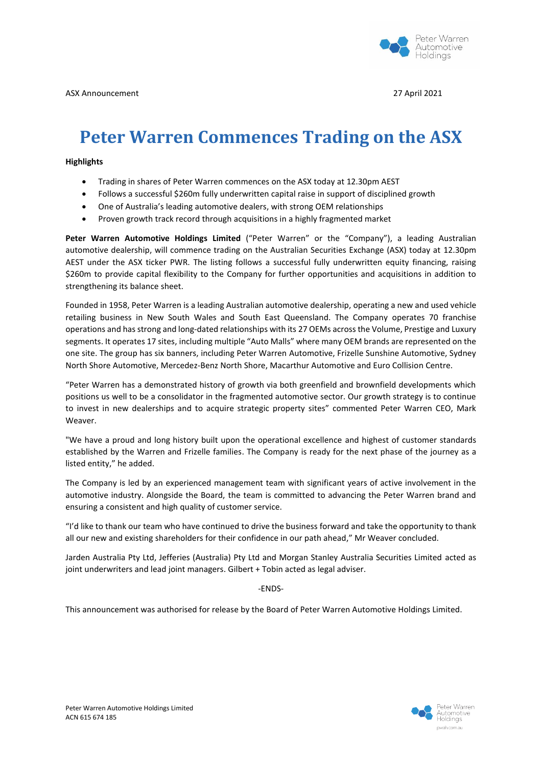

## **Peter Warren Commences Trading on the ASX**

## **Highlights**

- Trading in shares of Peter Warren commences on the ASX today at 12.30pm AEST
- Follows a successful \$260m fully underwritten capital raise in support of disciplined growth
- One of Australia's leading automotive dealers, with strong OEM relationships
- Proven growth track record through acquisitions in a highly fragmented market

**Peter Warren Automotive Holdings Limited** ("Peter Warren" or the "Company"), a leading Australian automotive dealership, will commence trading on the Australian Securities Exchange (ASX) today at 12.30pm AEST under the ASX ticker PWR. The listing follows a successful fully underwritten equity financing, raising \$260m to provide capital flexibility to the Company for further opportunities and acquisitions in addition to strengthening its balance sheet.

Founded in 1958, Peter Warren is a leading Australian automotive dealership, operating a new and used vehicle retailing business in New South Wales and South East Queensland. The Company operates 70 franchise operations and has strong and long-dated relationships with its 27 OEMs across the Volume, Prestige and Luxury segments. It operates 17 sites, including multiple "Auto Malls" where many OEM brands are represented on the one site. The group has six banners, including Peter Warren Automotive, Frizelle Sunshine Automotive, Sydney North Shore Automotive, Mercedez-Benz North Shore, Macarthur Automotive and Euro Collision Centre.

"Peter Warren has a demonstrated history of growth via both greenfield and brownfield developments which positions us well to be a consolidator in the fragmented automotive sector. Our growth strategy is to continue to invest in new dealerships and to acquire strategic property sites" commented Peter Warren CEO, Mark Weaver.

"We have a proud and long history built upon the operational excellence and highest of customer standards established by the Warren and Frizelle families. The Company is ready for the next phase of the journey as a listed entity," he added.

The Company is led by an experienced management team with significant years of active involvement in the automotive industry. Alongside the Board, the team is committed to advancing the Peter Warren brand and ensuring a consistent and high quality of customer service.

"I'd like to thank our team who have continued to drive the business forward and take the opportunity to thank all our new and existing shareholders for their confidence in our path ahead," Mr Weaver concluded.

Jarden Australia Pty Ltd, Jefferies (Australia) Pty Ltd and Morgan Stanley Australia Securities Limited acted as joint underwriters and lead joint managers. Gilbert + Tobin acted as legal adviser.

-ENDS-

This announcement was authorised for release by the Board of Peter Warren Automotive Holdings Limited.